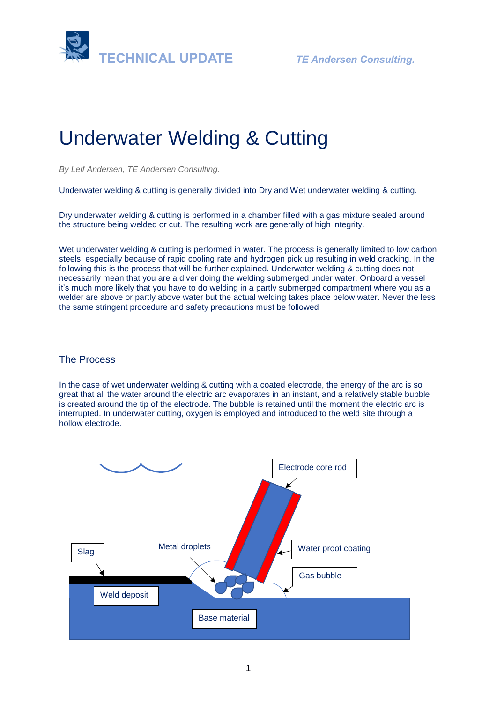



# Underwater Welding & Cutting

*By Leif Andersen, TE Andersen Consulting.* 

Underwater welding & cutting is generally divided into Dry and Wet underwater welding & cutting.

Dry underwater welding & cutting is performed in a chamber filled with a gas mixture sealed around the structure being welded or cut. The resulting work are generally of high integrity.

Wet underwater welding & cutting is performed in water. The process is generally limited to low carbon steels, especially because of rapid cooling rate and hydrogen pick up resulting in weld cracking. In the following this is the process that will be further explained. Underwater welding & cutting does not necessarily mean that you are a diver doing the welding submerged under water. Onboard a vessel it's much more likely that you have to do welding in a partly submerged compartment where you as a welder are above or partly above water but the actual welding takes place below water. Never the less the same stringent procedure and safety precautions must be followed

## The Process

In the case of wet underwater welding & cutting with a coated electrode, the energy of the arc is so great that all the water around the electric arc evaporates in an instant, and a relatively stable bubble is created around the tip of the electrode. The bubble is retained until the moment the electric arc is interrupted. In underwater cutting, oxygen is employed and introduced to the weld site through a hollow electrode.

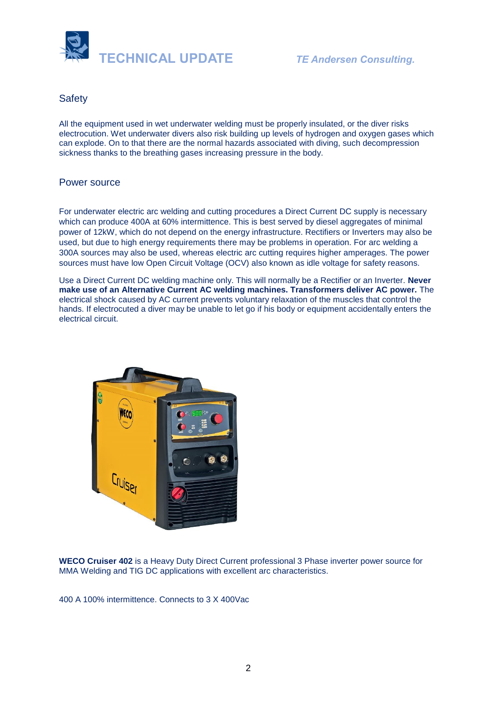

#### **Safety**

All the equipment used in wet underwater welding must be properly insulated, or the diver risks electrocution. Wet underwater divers also risk building up levels of hydrogen and oxygen gases which can explode. On to that there are the normal hazards associated with diving, such decompression sickness thanks to the breathing gases increasing pressure in the body.

#### Power source

For underwater electric arc welding and cutting procedures a Direct Current DC supply is necessary which can produce 400A at 60% intermittence. This is best served by diesel aggregates of minimal power of 12kW, which do not depend on the energy infrastructure. Rectifiers or Inverters may also be used, but due to high energy requirements there may be problems in operation. For arc welding a 300A sources may also be used, whereas electric arc cutting requires higher amperages. The power sources must have low Open Circuit Voltage (OCV) also known as idle voltage for safety reasons.

Use a Direct Current DC welding machine only. This will normally be a Rectifier or an Inverter. **Never make use of an Alternative Current AC welding machines. Transformers deliver AC power.** The electrical shock caused by AC current prevents voluntary relaxation of the muscles that control the hands. If electrocuted a diver may be unable to let go if his body or equipment accidentally enters the electrical circuit.



**WECO Cruiser 402** is a Heavy Duty Direct Current professional 3 Phase inverter power source for MMA Welding and TIG DC applications with excellent arc characteristics.

400 A 100% intermittence. Connects to 3 X 400Vac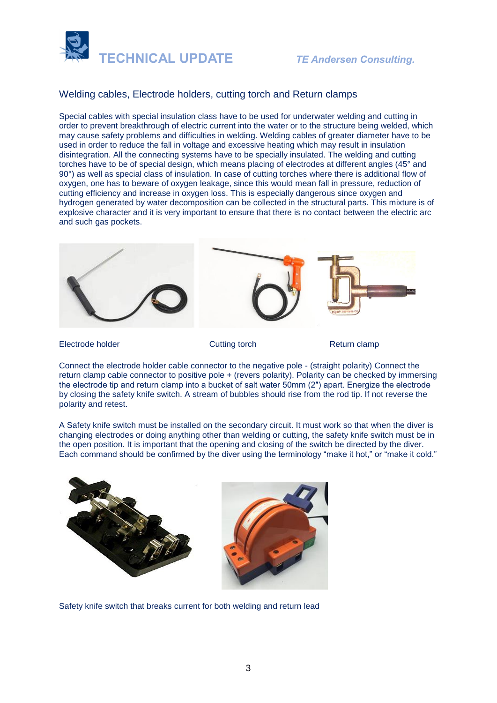



#### Welding cables, Electrode holders, cutting torch and Return clamps

Special cables with special insulation class have to be used for underwater welding and cutting in order to prevent breakthrough of electric current into the water or to the structure being welded, which may cause safety problems and difficulties in welding. Welding cables of greater diameter have to be used in order to reduce the fall in voltage and excessive heating which may result in insulation disintegration. All the connecting systems have to be specially insulated. The welding and cutting torches have to be of special design, which means placing of electrodes at different angles (45° and 90°) as well as special class of insulation. In case of cutting torches where there is additional flow of oxygen, one has to beware of oxygen leakage, since this would mean fall in pressure, reduction of cutting efficiency and increase in oxygen loss. This is especially dangerous since oxygen and hydrogen generated by water decomposition can be collected in the structural parts. This mixture is of explosive character and it is very important to ensure that there is no contact between the electric arc and such gas pockets.



Electrode holder **Cutting torch** Return clamp

Connect the electrode holder cable connector to the negative pole - (straight polarity) Connect the return clamp cable connector to positive pole + (revers polarity). Polarity can be checked by immersing the electrode tip and return clamp into a bucket of salt water 50mm (2″) apart. Energize the electrode by closing the safety knife switch. A stream of bubbles should rise from the rod tip. If not reverse the polarity and retest.

A Safety knife switch must be installed on the secondary circuit. It must work so that when the diver is changing electrodes or doing anything other than welding or cutting, the safety knife switch must be in the open position. It is important that the opening and closing of the switch be directed by the diver. Each command should be confirmed by the diver using the terminology "make it hot," or "make it cold."



Safety knife switch that breaks current for both welding and return lead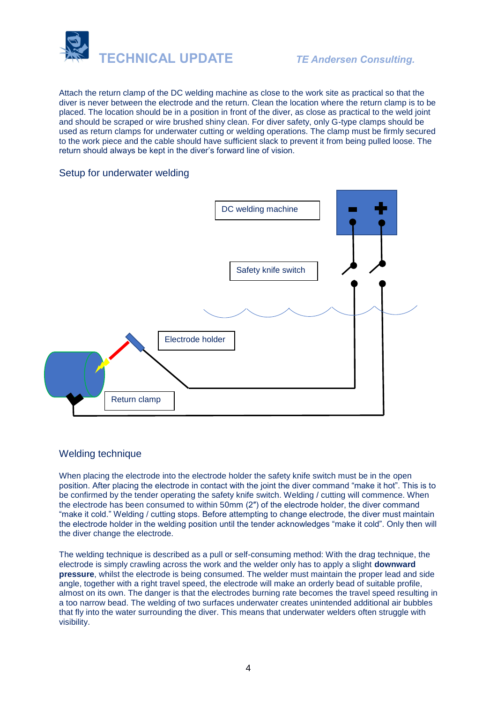

Attach the return clamp of the DC welding machine as close to the work site as practical so that the diver is never between the electrode and the return. Clean the location where the return clamp is to be placed. The location should be in a position in front of the diver, as close as practical to the weld joint and should be scraped or wire brushed shiny clean. For diver safety, only G-type clamps should be used as return clamps for underwater cutting or welding operations. The clamp must be firmly secured to the work piece and the cable should have sufficient slack to prevent it from being pulled loose. The return should always be kept in the diver's forward line of vision.

#### Setup for underwater welding



## Welding technique

When placing the electrode into the electrode holder the safety knife switch must be in the open position. After placing the electrode in contact with the joint the diver command "make it hot". This is to be confirmed by the tender operating the safety knife switch. Welding / cutting will commence. When the electrode has been consumed to within 50mm (2″) of the electrode holder, the diver command "make it cold." Welding / cutting stops. Before attempting to change electrode, the diver must maintain the electrode holder in the welding position until the tender acknowledges "make it cold". Only then will the diver change the electrode.

The welding technique is described as a pull or self-consuming method: With the drag technique, the electrode is simply crawling across the work and the welder only has to apply a slight **downward pressure**, whilst the electrode is being consumed. The welder must maintain the proper lead and side angle, together with a right travel speed, the electrode will make an orderly bead of suitable profile, almost on its own. The danger is that the electrodes burning rate becomes the travel speed resulting in a too narrow bead. The welding of two surfaces underwater creates unintended additional air bubbles that fly into the water surrounding the diver. This means that underwater welders often struggle with visibility.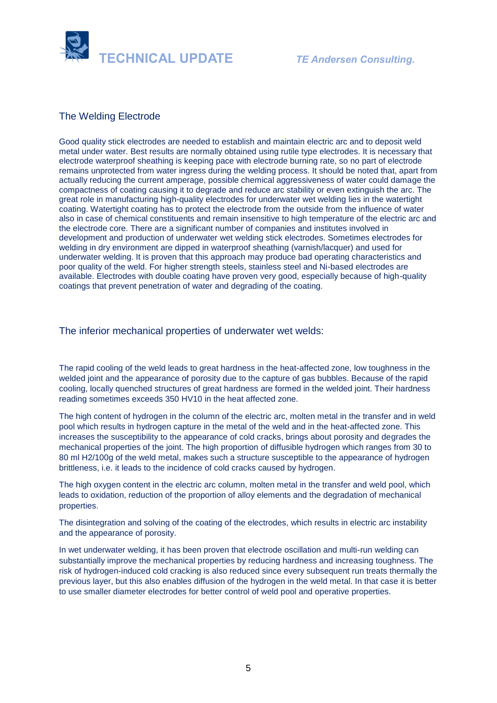

#### The Welding Electrode

Good quality stick electrodes are needed to establish and maintain electric arc and to deposit weld metal under water. Best results are normally obtained using rutile type electrodes. It is necessary that electrode waterproof sheathing is keeping pace with electrode burning rate, so no part of electrode remains unprotected from water ingress during the welding process. It should be noted that, apart from actually reducing the current amperage, possible chemical aggressiveness of water could damage the compactness of coating causing it to degrade and reduce arc stability or even extinguish the arc. The great role in manufacturing high-quality electrodes for underwater wet welding lies in the watertight coating. Watertight coating has to protect the electrode from the outside from the influence of water also in case of chemical constituents and remain insensitive to high temperature of the electric arc and the electrode core. There are a significant number of companies and institutes involved in development and production of underwater wet welding stick electrodes. Sometimes electrodes for welding in dry environment are dipped in waterproof sheathing (varnish/lacquer) and used for underwater welding. It is proven that this approach may produce bad operating characteristics and poor quality of the weld. For higher strength steels, stainless steel and Ni-based electrodes are available. Electrodes with double coating have proven very good, especially because of high-quality coatings that prevent penetration of water and degrading of the coating.

The inferior mechanical properties of underwater wet welds:

The rapid cooling of the weld leads to great hardness in the heat-affected zone, low toughness in the welded joint and the appearance of porosity due to the capture of gas bubbles. Because of the rapid cooling, locally quenched structures of great hardness are formed in the welded joint. Their hardness reading sometimes exceeds 350 HV10 in the heat affected zone.

The high content of hydrogen in the column of the electric arc, molten metal in the transfer and in weld pool which results in hydrogen capture in the metal of the weld and in the heat-affected zone. This increases the susceptibility to the appearance of cold cracks, brings about porosity and degrades the mechanical properties of the joint. The high proportion of diffusible hydrogen which ranges from 30 to 80 ml H2/100g of the weld metal, makes such a structure susceptible to the appearance of hydrogen brittleness, i.e. it leads to the incidence of cold cracks caused by hydrogen.

The high oxygen content in the electric arc column, molten metal in the transfer and weld pool, which leads to oxidation, reduction of the proportion of alloy elements and the degradation of mechanical properties.

The disintegration and solving of the coating of the electrodes, which results in electric arc instability and the appearance of porosity.

In wet underwater welding, it has been proven that electrode oscillation and multi-run welding can substantially improve the mechanical properties by reducing hardness and increasing toughness. The risk of hydrogen-induced cold cracking is also reduced since every subsequent run treats thermally the previous layer, but this also enables diffusion of the hydrogen in the weld metal. In that case it is better to use smaller diameter electrodes for better control of weld pool and operative properties.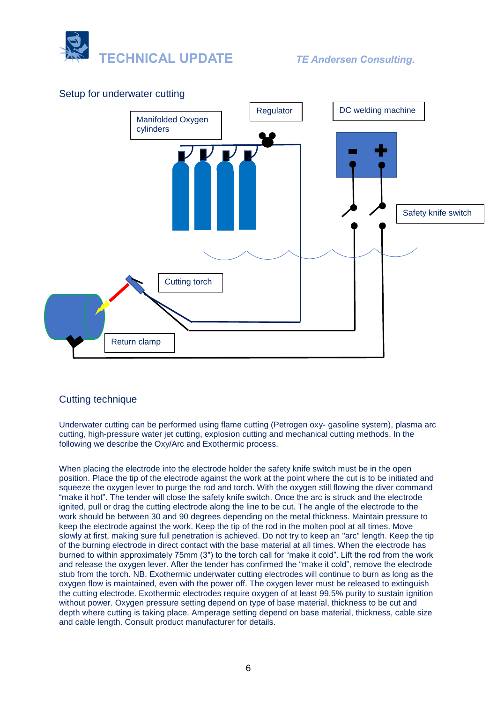



#### Setup for underwater cutting

# Cutting technique

Underwater cutting can be performed using flame cutting (Petrogen oxy- gasoline system), plasma arc cutting, high-pressure water jet cutting, explosion cutting and mechanical cutting methods. In the following we describe the Oxy/Arc and Exothermic process.

When placing the electrode into the electrode holder the safety knife switch must be in the open position. Place the tip of the electrode against the work at the point where the cut is to be initiated and squeeze the oxygen lever to purge the rod and torch. With the oxygen still flowing the diver command "make it hot". The tender will close the safety knife switch. Once the arc is struck and the electrode ignited, pull or drag the cutting electrode along the line to be cut. The angle of the electrode to the work should be between 30 and 90 degrees depending on the metal thickness. Maintain pressure to keep the electrode against the work. Keep the tip of the rod in the molten pool at all times. Move slowly at first, making sure full penetration is achieved. Do not try to keep an "arc" length. Keep the tip of the burning electrode in direct contact with the base material at all times. When the electrode has burned to within approximately 75mm (3") to the torch call for "make it cold". Lift the rod from the work and release the oxygen lever. After the tender has confirmed the "make it cold", remove the electrode stub from the torch. NB. Exothermic underwater cutting electrodes will continue to burn as long as the oxygen flow is maintained, even with the power off. The oxygen lever must be released to extinguish the cutting electrode. Exothermic electrodes require oxygen of at least 99.5% purity to sustain ignition without power. Oxygen pressure setting depend on type of base material, thickness to be cut and depth where cutting is taking place. Amperage setting depend on base material, thickness, cable size and cable length. Consult product manufacturer for details.